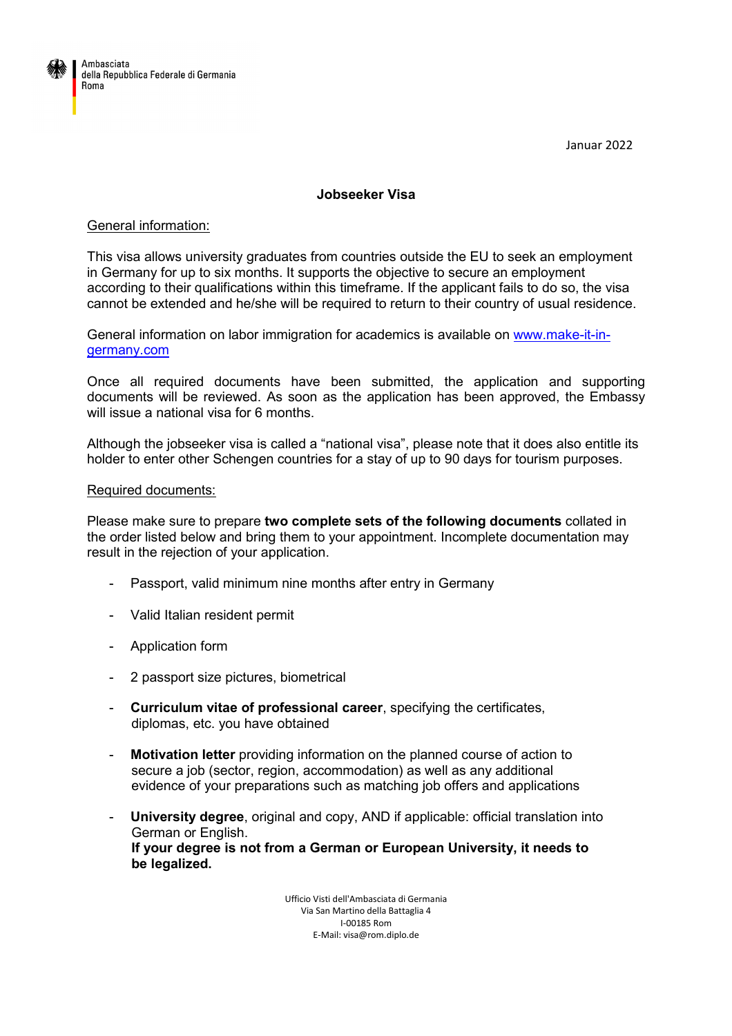

Januar 2022

## **Jobseeker Visa**

## General information:

This visa allows university graduates from countries outside the EU to seek an employment in Germany for up to six months. It supports the objective to secure an employment according to their qualifications within this timeframe. If the applicant fails to do so, the visa cannot be extended and he/she will be required to return to their country of usual residence.

General information on labor immigration for academics is available on www.make-it-ingermany.com

Once all required documents have been submitted, the application and supporting documents will be reviewed. As soon as the application has been approved, the Embassy will issue a national visa for 6 months.

Although the jobseeker visa is called a "national visa", please note that it does also entitle its holder to enter other Schengen countries for a stay of up to 90 days for tourism purposes.

## Required documents:

Please make sure to prepare **two complete sets of the following documents** collated in the order listed below and bring them to your appointment. Incomplete documentation may result in the rejection of your application.

- Passport, valid minimum nine months after entry in Germany
- Valid Italian resident permit
- Application form
- 2 passport size pictures, biometrical
- **Curriculum vitae of professional career**, specifying the certificates, diplomas, etc. you have obtained
- **Motivation letter** providing information on the planned course of action to secure a job (sector, region, accommodation) as well as any additional evidence of your preparations such as matching job offers and applications
- **University degree**, original and copy, AND if applicable: official translation into German or English. **If your degree is not from a German or European University, it needs to be legalized.**

Ufficio Visti dell'Ambasciata di Germania Via San Martino della Battaglia 4 I-00185 Rom E-Mail: visa@rom.diplo.de